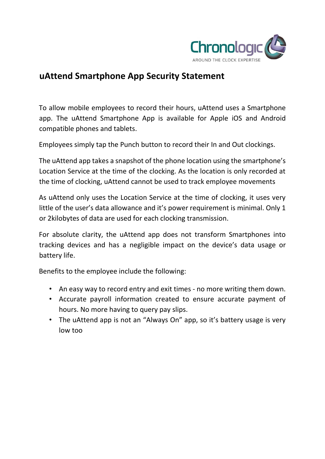

## **uAttend Smartphone App Security Statement**

To allow mobile employees to record their hours, uAttend uses a Smartphone app. The uAttend Smartphone App is available for Apple iOS and Android compatible phones and tablets.

Employees simply tap the Punch button to record their In and Out clockings.

The uAttend app takes a snapshot of the phone location using the smartphone's Location Service at the time of the clocking. As the location is only recorded at the time of clocking, uAttend cannot be used to track employee movements

As uAttend only uses the Location Service at the time of clocking, it uses very little of the user's data allowance and it's power requirement is minimal. Only 1 or 2kilobytes of data are used for each clocking transmission.

For absolute clarity, the uAttend app does not transform Smartphones into tracking devices and has a negligible impact on the device's data usage or battery life.

Benefits to the employee include the following:

- An easy way to record entry and exit times no more writing them down.
- Accurate payroll information created to ensure accurate payment of hours. No more having to query pay slips.
- The uAttend app is not an "Always On" app, so it's battery usage is very low too